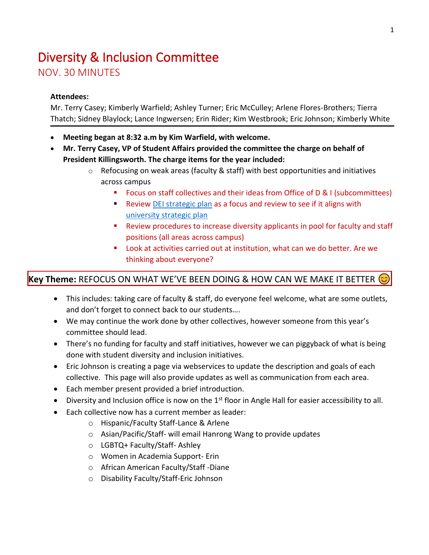## Diversity & Inclusion Committee NOV. 30 MINUTES

## **Attendees:**

Mr. Terry Casey; Kimberly Warfield; Ashley Turner; Eric McCulley; Arlene Flores-Brothers; Tierra Thatch; Sidney Blaylock; Lance Ingwersen; Erin Rider; Kim Westbrook; Eric Johnson; Kimberly White

- **Meeting began at 8:32 a.m by Kim Warfield, with welcome.**
- **Mr. Terry Casey, VP of Student Affairs provided the committee the charge on behalf of President Killingsworth. The charge items for the year included:**
	- o Refocusing on weak areas (faculty & staff) with best opportunities and initiatives across campus
		- Focus on staff collectives and their ideas from Office of D & I (subcommittees)
		- Review [DEI strategic plan](https://www.jsu.edu/diversity/diversity-and-inclusion-strategic-plan.html) as a focus and review to see if it aligns with [university strategic plan](https://www.youtube.com/watch?v=G-8N8xwHgwk)
		- Review procedures to increase diversity applicants in pool for faculty and staff positions (all areas across campus)
		- Look at activities carried out at institution, what can we do better. Are we thinking about everyone?

## **Key Theme:** REFOCUS ON WHAT WE'VE BEEN DOING & HOW CAN WE MAKE IT BETTER

- This includes: taking care of faculty & staff, do everyone feel welcome, what are some outlets, and don't forget to connect back to our students….
- We may continue the work done by other collectives, however someone from this year's committee should lead.
- There's no funding for faculty and staff initiatives, however we can piggyback of what is being done with student diversity and inclusion initiatives.
- Eric Johnson is creating a page via webservices to update the description and goals of each collective. This page will also provide updates as well as communication from each area.
- Each member present provided a brief introduction.
- Diversity and Inclusion office is now on the 1<sup>st</sup> floor in Angle Hall for easier accessibility to all.
- Each collective now has a current member as leader:
	- o Hispanic/Faculty Staff-Lance & Arlene
	- o Asian/Pacific/Staff- will email Hanrong Wang to provide updates
	- o LGBTQ+ Faculty/Staff- Ashley
	- o Women in Academia Support- Erin
	- o African American Faculty/Staff -Diane
	- o Disability Faculty/Staff-Eric Johnson